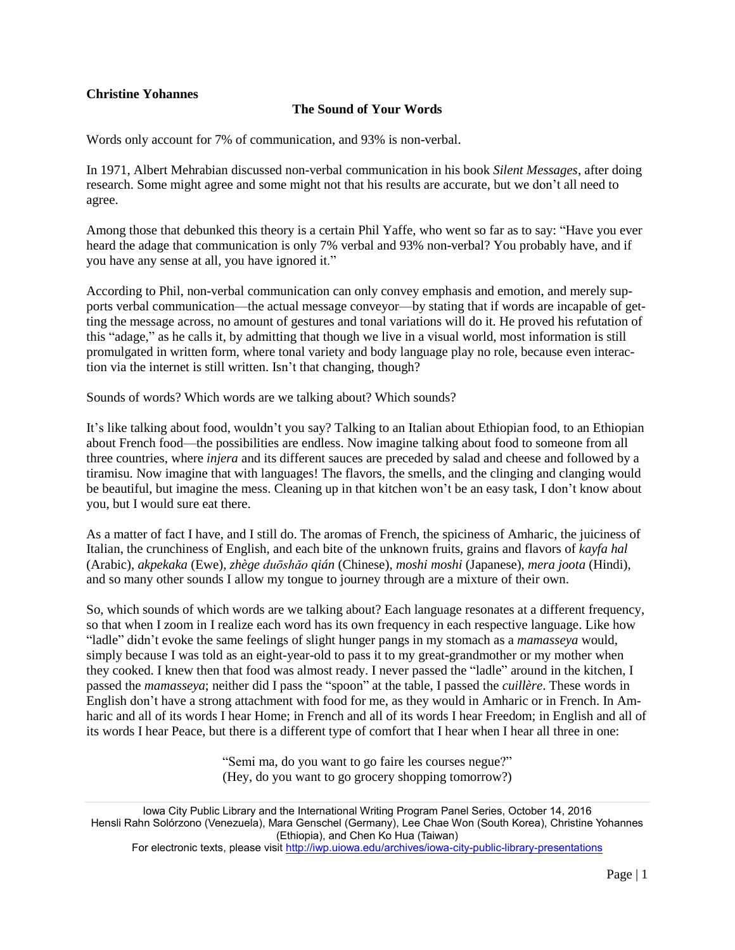## **Christine Yohannes**

## **The Sound of Your Words**

Words only account for 7% of communication, and 93% is non-verbal.

In 1971, Albert Mehrabian discussed non-verbal communication in his book *Silent Messages*, after doing research. Some might agree and some might not that his results are accurate, but we don't all need to agree.

Among those that debunked this theory is a certain Phil Yaffe, who went so far as to say: "Have you ever heard the adage that communication is only 7% verbal and 93% non-verbal? You probably have, and if you have any sense at all, you have ignored it."

According to Phil, non-verbal communication can only convey emphasis and emotion, and merely supports verbal communication—the actual message conveyor—by stating that if words are incapable of getting the message across, no amount of gestures and tonal variations will do it. He proved his refutation of this "adage," as he calls it, by admitting that though we live in a visual world, most information is still promulgated in written form, where tonal variety and body language play no role, because even interaction via the internet is still written. Isn't that changing, though?

Sounds of words? Which words are we talking about? Which sounds?

It's like talking about food, wouldn't you say? Talking to an Italian about Ethiopian food, to an Ethiopian about French food—the possibilities are endless. Now imagine talking about food to someone from all three countries, where *injera* and its different sauces are preceded by salad and cheese and followed by a tiramisu. Now imagine that with languages! The flavors, the smells, and the clinging and clanging would be beautiful, but imagine the mess. Cleaning up in that kitchen won't be an easy task, I don't know about you, but I would sure eat there.

As a matter of fact I have, and I still do. The aromas of French, the spiciness of Amharic, the juiciness of Italian, the crunchiness of English, and each bite of the unknown fruits, grains and flavors of *kayfa hal* (Arabic), *akpekaka* (Ewe), *zhège duōshǎo qián* (Chinese), *moshi moshi* (Japanese), *mera joota* (Hindi), and so many other sounds I allow my tongue to journey through are a mixture of their own.

So, which sounds of which words are we talking about? Each language resonates at a different frequency, so that when I zoom in I realize each word has its own frequency in each respective language. Like how "ladle" didn't evoke the same feelings of slight hunger pangs in my stomach as a *mamasseya* would, simply because I was told as an eight-year-old to pass it to my great-grandmother or my mother when they cooked. I knew then that food was almost ready. I never passed the "ladle" around in the kitchen, I passed the *mamasseya*; neither did I pass the "spoon" at the table, I passed the *cuillère*. These words in English don't have a strong attachment with food for me, as they would in Amharic or in French. In Amharic and all of its words I hear Home; in French and all of its words I hear Freedom; in English and all of its words I hear Peace, but there is a different type of comfort that I hear when I hear all three in one:

> "Semi ma, do you want to go faire les courses negue?" (Hey, do you want to go grocery shopping tomorrow?)

Iowa City Public Library and the International Writing Program Panel Series, October 14, 2016 Hensli Rahn Solórzono (Venezuela), Mara Genschel (Germany), Lee Chae Won (South Korea), Christine Yohannes (Ethiopia), and Chen Ko Hua (Taiwan)

For electronic texts, please visit <http://iwp.uiowa.edu/archives/iowa-city-public-library-presentations>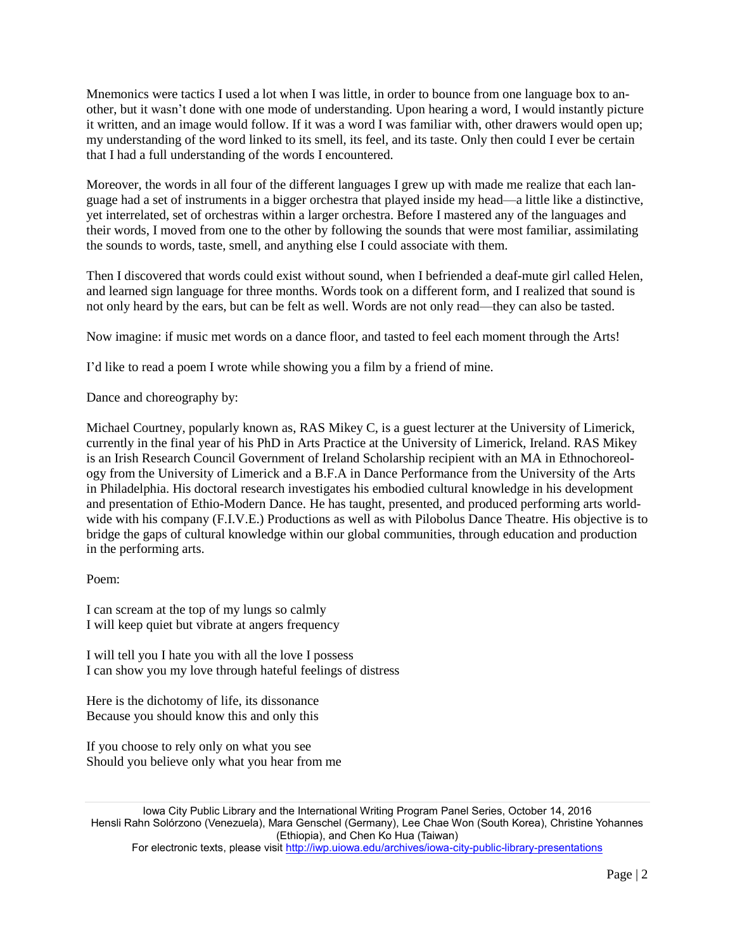Mnemonics were tactics I used a lot when I was little, in order to bounce from one language box to another, but it wasn't done with one mode of understanding. Upon hearing a word, I would instantly picture it written, and an image would follow. If it was a word I was familiar with, other drawers would open up; my understanding of the word linked to its smell, its feel, and its taste. Only then could I ever be certain that I had a full understanding of the words I encountered.

Moreover, the words in all four of the different languages I grew up with made me realize that each language had a set of instruments in a bigger orchestra that played inside my head—a little like a distinctive, yet interrelated, set of orchestras within a larger orchestra. Before I mastered any of the languages and their words, I moved from one to the other by following the sounds that were most familiar, assimilating the sounds to words, taste, smell, and anything else I could associate with them.

Then I discovered that words could exist without sound, when I befriended a deaf-mute girl called Helen, and learned sign language for three months. Words took on a different form, and I realized that sound is not only heard by the ears, but can be felt as well. Words are not only read—they can also be tasted.

Now imagine: if music met words on a dance floor, and tasted to feel each moment through the Arts!

I'd like to read a poem I wrote while showing you a film by a friend of mine.

Dance and choreography by:

Michael Courtney, popularly known as, RAS Mikey C, is a guest lecturer at the University of Limerick, currently in the final year of his PhD in Arts Practice at the University of Limerick, Ireland. RAS Mikey is an Irish Research Council Government of Ireland Scholarship recipient with an MA in Ethnochoreology from the University of Limerick and a B.F.A in Dance Performance from the University of the Arts in Philadelphia. His doctoral research investigates his embodied cultural knowledge in his development and presentation of Ethio-Modern Dance. He has taught, presented, and produced performing arts worldwide with his company (F.I.V.E.) Productions as well as with Pilobolus Dance Theatre. His objective is to bridge the gaps of cultural knowledge within our global communities, through education and production in the performing arts.

## Poem:

I can scream at the top of my lungs so calmly I will keep quiet but vibrate at angers frequency

I will tell you I hate you with all the love I possess I can show you my love through hateful feelings of distress

Here is the dichotomy of life, its dissonance Because you should know this and only this

If you choose to rely only on what you see Should you believe only what you hear from me

Iowa City Public Library and the International Writing Program Panel Series, October 14, 2016 Hensli Rahn Solórzono (Venezuela), Mara Genschel (Germany), Lee Chae Won (South Korea), Christine Yohannes (Ethiopia), and Chen Ko Hua (Taiwan) For electronic texts, please visit <http://iwp.uiowa.edu/archives/iowa-city-public-library-presentations>